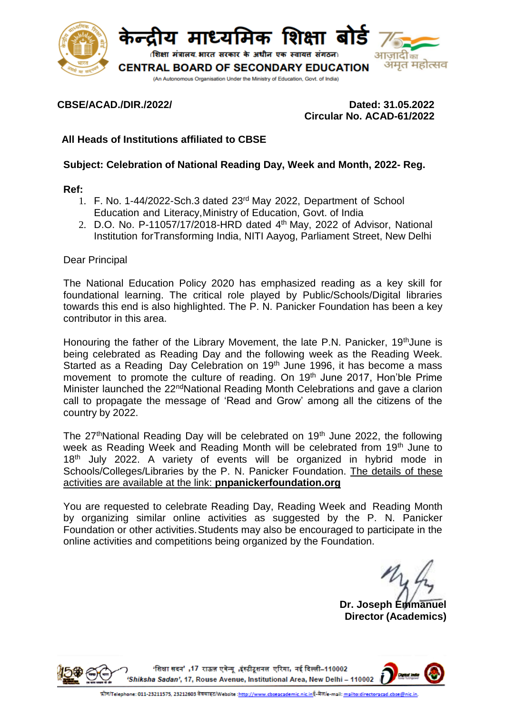

## **CBSE/ACAD./DIR./2022/ Dated: 31.05.2022 Circular No. ACAD-61/2022**

# **All Heads of Institutions affiliated to CBSE**

## **Subject: Celebration of National Reading Day, Week and Month, 2022- Reg.**

#### **Ref:**

- 1. F. No. 1-44/2022-Sch.3 dated 23rd May 2022, Department of School Education and Literacy,Ministry of Education, Govt. of India
- 2. D.O. No. P-11057/17/2018-HRD dated 4<sup>th</sup> May, 2022 of Advisor, National Institution forTransforming India, NITI Aayog, Parliament Street, New Delhi

#### Dear Principal

The National Education Policy 2020 has emphasized reading as a key skill for foundational learning. The critical role played by Public/Schools/Digital libraries towards this end is also highlighted. The P. N. Panicker Foundation has been a key contributor in this area.

Honouring the father of the Library Movement, the late P.N. Panicker, 19<sup>th</sup>June is being celebrated as Reading Day and the following week as the Reading Week. Started as a Reading Day Celebration on  $19<sup>th</sup>$  June 1996, it has become a mass movement to promote the culture of reading. On 19<sup>th</sup> June 2017, Hon'ble Prime Minister launched the 22<sup>nd</sup>National Reading Month Celebrations and gave a clarion call to propagate the message of 'Read and Grow' among all the citizens of the country by 2022.

The 27<sup>th</sup>National Reading Day will be celebrated on 19<sup>th</sup> June 2022, the following week as Reading Week and Reading Month will be celebrated from 19th June to 18<sup>th</sup> July 2022. A variety of events will be organized in hybrid mode in Schools/Colleges/Libraries by the P. N. Panicker Foundation. The details of these activities are available at the link: **pnpanickerfoundation.org**

You are requested to celebrate Reading Day, Reading Week and Reading Month by organizing similar online activities as suggested by the P. N. Panicker Foundation or other activities.Students may also be encouraged to participate in the online activities and competitions being organized by the Foundation.

**Dr. Joseph Emmanuel Director (Academics)**

'शिक्षा सदन',17 राऊज़ एवेन्यू ,इंस्टीटूशनल एरिया, नई दिल्ली–110002 'Shiksha Sadan', 17, Rouse Avenue, Institutional Area, New Delhi - 110002